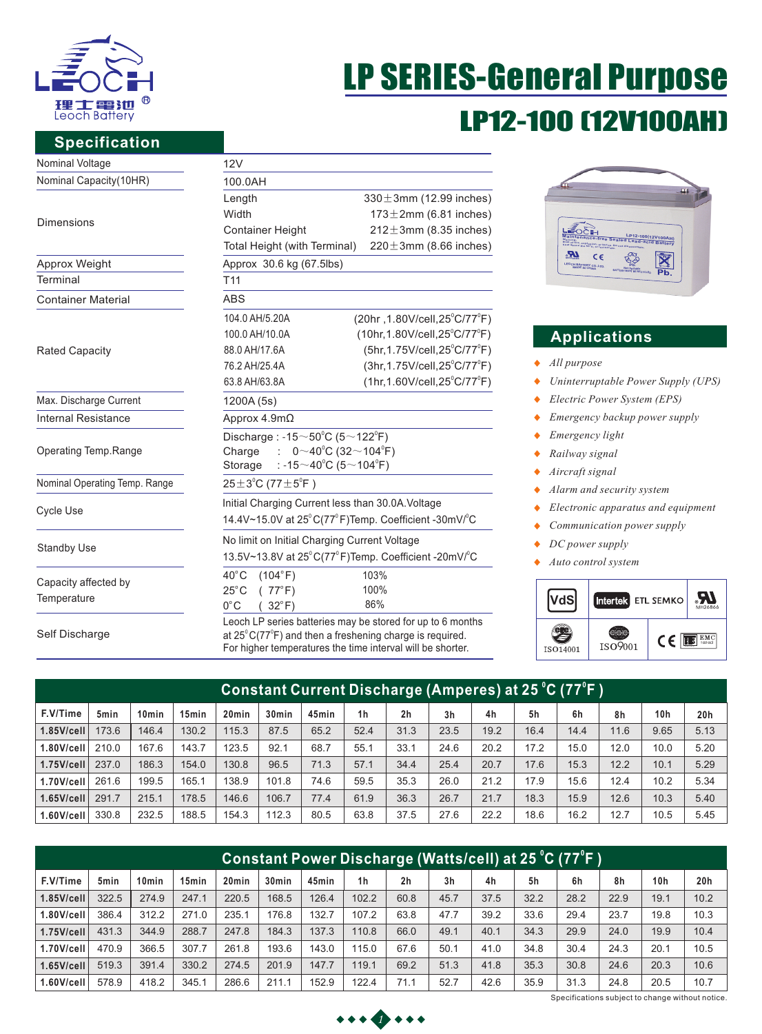

# LP SERIES-General Purpose LP12-100 [12V100A

### **Specification**

| Nominal Voltage               | 12V                                                                          |                                               |  |  |  |  |  |  |  |
|-------------------------------|------------------------------------------------------------------------------|-----------------------------------------------|--|--|--|--|--|--|--|
| Nominal Capacity(10HR)        | 100.0AH                                                                      |                                               |  |  |  |  |  |  |  |
|                               | Length                                                                       | $330 \pm 3$ mm (12.99 inches)                 |  |  |  |  |  |  |  |
| <b>Dimensions</b>             | Width                                                                        | $173 \pm 2$ mm (6.81 inches)                  |  |  |  |  |  |  |  |
|                               | <b>Container Height</b>                                                      | $212 \pm 3$ mm (8.35 inches)                  |  |  |  |  |  |  |  |
|                               | Total Height (with Terminal)                                                 | $220 \pm 3$ mm (8.66 inches)                  |  |  |  |  |  |  |  |
| Approx Weight                 | Approx 30.6 kg (67.5lbs)                                                     |                                               |  |  |  |  |  |  |  |
| Terminal                      | T <sub>11</sub>                                                              |                                               |  |  |  |  |  |  |  |
| <b>Container Material</b>     | <b>ABS</b>                                                                   |                                               |  |  |  |  |  |  |  |
|                               | 104.0 AH/5.20A                                                               | (20hr, 1.80V/cell, 25°C/77°F)                 |  |  |  |  |  |  |  |
|                               | 100.0 AH/10.0A                                                               | $(10hr, 1.80V/cell, 25^{\circ}C/77^{\circ}F)$ |  |  |  |  |  |  |  |
| <b>Rated Capacity</b>         | 88.0 AH/17.6A                                                                | (5hr, 1.75V/cell, 25°C/77°F)                  |  |  |  |  |  |  |  |
|                               | 76.2 AH/25.4A                                                                | $(3hr, 1.75V/cell, 25^{\circ}C/77^{\circ}F)$  |  |  |  |  |  |  |  |
|                               | 63.8 AH/63.8A                                                                | $(1hr, 1.60V/cell, 25^{\circ}C/77^{\circ}F)$  |  |  |  |  |  |  |  |
| Max. Discharge Current        | 1200A (5s)                                                                   |                                               |  |  |  |  |  |  |  |
| <b>Internal Resistance</b>    | Approx $4.9m\Omega$                                                          |                                               |  |  |  |  |  |  |  |
|                               | Discharge: -15 $\sim$ 50 $\degree$ C (5 $\sim$ 122 $\degree$ F)              |                                               |  |  |  |  |  |  |  |
| Operating Temp.Range          | : $0 \sim 40^{\circ}$ C (32 $\sim$ 104 $^{\circ}$ F)<br>Charge               |                                               |  |  |  |  |  |  |  |
|                               | : -15 $\sim$ 40°C (5 $\sim$ 104°F)<br>Storage                                |                                               |  |  |  |  |  |  |  |
| Nominal Operating Temp. Range | $25 \pm 3^{\circ}$ C (77 $\pm 5^{\circ}$ F)                                  |                                               |  |  |  |  |  |  |  |
|                               | Initial Charging Current less than 30.0A. Voltage                            |                                               |  |  |  |  |  |  |  |
| <b>Cycle Use</b>              | 14.4V~15.0V at 25°C(77°F)Temp. Coefficient -30mV/°C                          |                                               |  |  |  |  |  |  |  |
|                               | No limit on Initial Charging Current Voltage                                 |                                               |  |  |  |  |  |  |  |
| <b>Standby Use</b>            | 13.5V~13.8V at 25°C(77°F)Temp. Coefficient -20mV/°C                          |                                               |  |  |  |  |  |  |  |
|                               | $40^{\circ}$ C<br>(104°F)                                                    | 103%                                          |  |  |  |  |  |  |  |
| Capacity affected by          | $25^{\circ}$ C<br>(77°F)                                                     | 100%                                          |  |  |  |  |  |  |  |
| Temperature                   | $0^{\circ}$ C<br>$32^{\circ}$ F)                                             | 86%                                           |  |  |  |  |  |  |  |
|                               | Leoch LP series batteries may be stored for up to 6 months                   |                                               |  |  |  |  |  |  |  |
| Self Discharge                | at $25^{\circ}$ C(77 $^{\circ}$ F) and then a freshening charge is required. |                                               |  |  |  |  |  |  |  |

For higher temperatures the time interval will be shorter.



# **Applications**

- *All purpose*
- *Uninterruptable Power Supply (UPS)*  $\blacklozenge$
- *Electric Power System (EPS)*  $\blacklozenge$
- $\ddot{\bullet}$ *Emergency backup power supply*
- *Emergency light*  ٠
- *Railway signal*   $\ddot{\bullet}$
- *Aircraft signal*  $\ddot{\bullet}$
- $\ddot{\bullet}$ *Alarm and security system*
- *Electronic apparatus and equipment*  $\bullet$
- *Communication power supply*  $\bullet$
- $\blacklozenge$ *DC power supply*
- *Auto control system* ٠



| Constant Current Discharge (Amperes) at 25 °C (77°F ) |                  |                   |                   |                   |                   |       |                |                |                |      |      |      |      |                 |      |
|-------------------------------------------------------|------------------|-------------------|-------------------|-------------------|-------------------|-------|----------------|----------------|----------------|------|------|------|------|-----------------|------|
| F.V/Time                                              | 5 <sub>min</sub> | 10 <sub>min</sub> | 15 <sub>min</sub> | 20 <sub>min</sub> | 30 <sub>min</sub> | 45min | 1 <sub>h</sub> | 2 <sub>h</sub> | 3 <sub>h</sub> | 4h   | 5h   | 6h   | 8h   | 10 <sub>h</sub> | 20h  |
| $1.85$ V/cell                                         | 173.6            | 146.4             | 130.2             | 115.3             | 87.5              | 65.2  | 52.4           | 31.3           | 23.5           | 19.2 | 16.4 | 14.4 | 11.6 | 9.65            | 5.13 |
| $1.80$ V/cell                                         | 210.0            | 167.6             | 143.7             | 123.5             | 92.1              | 68.7  | 55.1           | 33.1           | 24.6           | 20.2 | 17.2 | 15.0 | 12.0 | 10.0            | 5.20 |
| $1.75$ V/cell                                         | 237.0            | 186.3             | 154.0             | 130.8             | 96.5              | 71.3  | 57.1           | 34.4           | 25.4           | 20.7 | 17.6 | 15.3 | 12.2 | 10.1            | 5.29 |
| 1.70V/cell                                            | 261.6            | 199.5             | 165.1             | 138.9             | 101.8             | 74.6  | 59.5           | 35.3           | 26.0           | 21.2 | 17.9 | 15.6 | 12.4 | 10.2            | 5.34 |
| $1.65$ V/cell                                         | 291.7            | 215.1             | 178.5             | 146.6             | 106.7             | 77.4  | 61.9           | 36.3           | 26.7           | 21.7 | 18.3 | 15.9 | 12.6 | 10.3            | 5.40 |
| $1.60$ V/cell                                         | 330.8            | 232.5             | 188.5             | 154.3             | 112.3             | 80.5  | 63.8           | 37.5           | 27.6           | 22.2 | 18.6 | 16.2 | 12.7 | 10.5            | 5.45 |

| Constant Power Discharge (Watts/cell) at 25 °C (77°F ) |                  |                   |                   |                   |                   |       |                |      |                |      |      |      |      |                 |      |
|--------------------------------------------------------|------------------|-------------------|-------------------|-------------------|-------------------|-------|----------------|------|----------------|------|------|------|------|-----------------|------|
| F.V/Time                                               | 5 <sub>min</sub> | 10 <sub>min</sub> | 15 <sub>min</sub> | 20 <sub>min</sub> | 30 <sub>min</sub> | 45min | 1 <sub>h</sub> | 2h   | 3 <sub>h</sub> | 4h   | 5h   | 6h   | 8h   | 10 <sub>h</sub> | 20h  |
| $1.85$ V/cell                                          | 322.5            | 274.9             | 247.1             | 220.5             | 168.5             | 126.4 | 102.2          | 60.8 | 45.7           | 37.5 | 32.2 | 28.2 | 22.9 | 19.1            | 10.2 |
| $1.80$ V/cell                                          | 386.4            | 312.2             | 271.0             | 235.1             | 176.8             | 132.7 | 107.2          | 63.8 | 47.7           | 39.2 | 33.6 | 29.4 | 23.7 | 19.8            | 10.3 |
| $1.75$ V/cell                                          | 431.3            | 344.9             | 288.7             | 247.8             | 184.3             | 137.3 | 110.8          | 66.0 | 49.1           | 40.1 | 34.3 | 29.9 | 24.0 | 19.9            | 10.4 |
| 1.70V/cell                                             | 470.9            | 366.5             | 307.7             | 261.8             | 193.6             | 143.0 | 115.0          | 67.6 | 50.1           | 41.0 | 34.8 | 30.4 | 24.3 | 20.1            | 10.5 |
| $1.65$ V/cell                                          | 519.3            | 391.4             | 330.2             | 274.5             | 201.9             | 147.7 | 119.1          | 69.2 | 51.3           | 41.8 | 35.3 | 30.8 | 24.6 | 20.3            | 10.6 |
| $1.60$ V/cell                                          | 578.9            | 418.2             | 345.1             | 286.6             | 211.1             | 152.9 | 122.4          | 71.1 | 52.7           | 42.6 | 35.9 | 31.3 | 24.8 | 20.5            | 10.7 |



Specifications subject to change without notice.